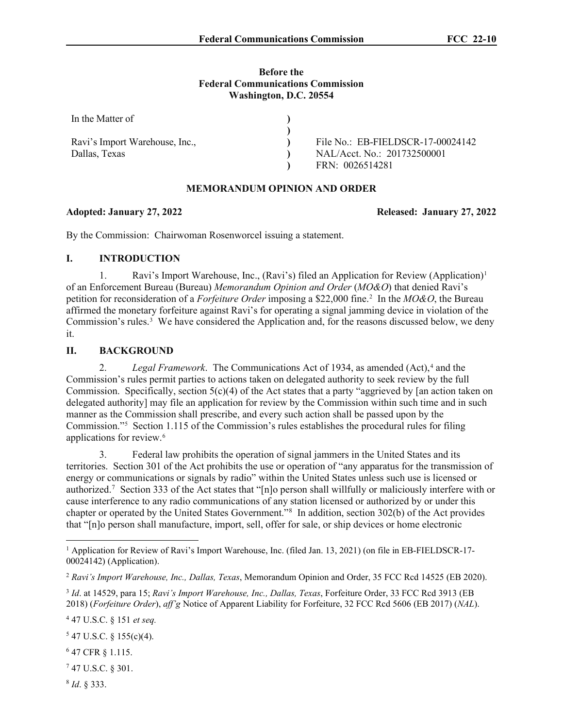#### **Before the Federal Communications Commission Washington, D.C. 20554**

| In the Matter of               |                                   |
|--------------------------------|-----------------------------------|
|                                |                                   |
| Ravi's Import Warehouse, Inc., | File No.: EB-FIELDSCR-17-00024142 |
| Dallas, Texas                  | NAL/Acct. No.: 201732500001       |
|                                | FRN: 0026514281                   |

#### **MEMORANDUM OPINION AND ORDER**

## **Adopted: January 27, 2022 Released: January 27, 2022**

By the Commission: Chairwoman Rosenworcel issuing a statement.

## **I. INTRODUCTION**

[1](#page-0-0). Ravi's Import Warehouse, Inc., (Ravi's) filed an Application for Review (Application)<sup>1</sup> of an Enforcement Bureau (Bureau) *Memorandum Opinion and Order* (*MO&O*) that denied Ravi's petition for reconsideration of a *Forfeiture Order* imposing a \$22,000 fine. [2](#page-0-1) In the *MO&O*, the Bureau affirmed the monetary forfeiture against Ravi's for operating a signal jamming device in violation of the Commission's rules.<sup>[3](#page-0-2)</sup> We have considered the Application and, for the reasons discussed below, we deny it.

# **II. BACKGROUND**

2. *Legal Framework*. The Communications Act of 193[4](#page-0-3), as amended (Act),<sup>4</sup> and the Commission's rules permit parties to actions taken on delegated authority to seek review by the full Commission. Specifically, section  $5(c)(4)$  of the Act states that a party "aggrieved by [an action taken on delegated authority] may file an application for review by the Commission within such time and in such manner as the Commission shall prescribe, and every such action shall be passed upon by the Commission."[5](#page-0-4) Section 1.115 of the Commission's rules establishes the procedural rules for filing applications for review.<sup>[6](#page-0-5)</sup>

3. Federal law prohibits the operation of signal jammers in the United States and its territories. Section 301 of the Act prohibits the use or operation of "any apparatus for the transmission of energy or communications or signals by radio" within the United States unless such use is licensed or authorized.<sup>[7](#page-0-6)</sup> Section 333 of the Act states that "[n]o person shall willfully or maliciously interfere with or cause interference to any radio communications of any station licensed or authorized by or under this chapter or operated by the United States Government."[8](#page-0-7) In addition, section 302(b) of the Act provides that "[n]o person shall manufacture, import, sell, offer for sale, or ship devices or home electronic

<span id="page-0-3"></span><sup>4</sup> 47 U.S.C. § 151 *et seq.*

<span id="page-0-5"></span><sup>6</sup> 47 CFR § 1.115.

<span id="page-0-7"></span><sup>8</sup> *Id*. § 333.

<span id="page-0-0"></span><sup>&</sup>lt;sup>1</sup> Application for Review of Ravi's Import Warehouse, Inc. (filed Jan. 13, 2021) (on file in EB-FIELDSCR-17-00024142) (Application).

<span id="page-0-1"></span><sup>2</sup> *Ravi's Import Warehouse, Inc., Dallas, Texas*, Memorandum Opinion and Order, 35 FCC Rcd 14525 (EB 2020).

<span id="page-0-2"></span><sup>3</sup> *Id*. at 14529, para 15; *Ravi's Import Warehouse, Inc., Dallas, Texas*, Forfeiture Order, 33 FCC Rcd 3913 (EB 2018) (*Forfeiture Order*), *aff'g* Notice of Apparent Liability for Forfeiture, 32 FCC Rcd 5606 (EB 2017) (*NAL*).

<span id="page-0-4"></span> $547$  U.S.C. § 155(c)(4).

<span id="page-0-6"></span><sup>7</sup> 47 U.S.C. § 301.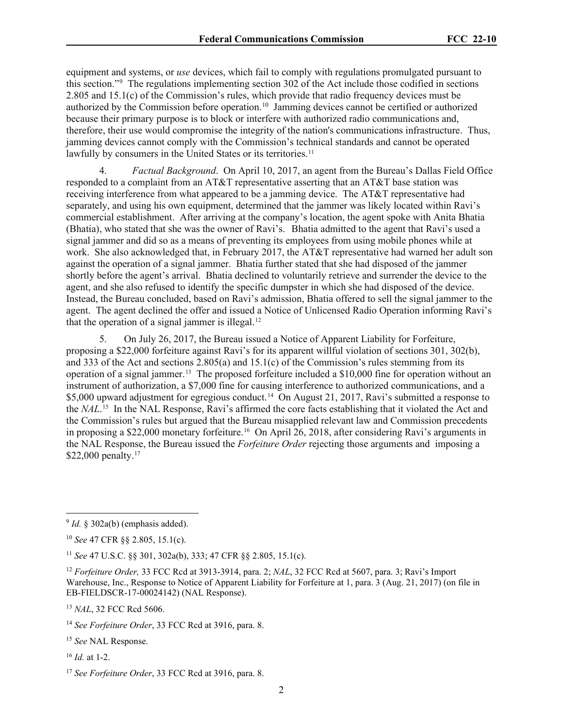equipment and systems, or *use* devices, which fail to comply with regulations promulgated pursuant to this section."[9](#page-1-0) The regulations implementing section 302 of the Act include those codified in sections 2.805 and 15.1(c) of the Commission's rules, which provide that radio frequency devices must be authorized by the Commission before operation.[10](#page-1-1) Jamming devices cannot be certified or authorized because their primary purpose is to block or interfere with authorized radio communications and, therefore, their use would compromise the integrity of the nation's communications infrastructure. Thus, jamming devices cannot comply with the Commission's technical standards and cannot be operated lawfully by consumers in the United States or its territories.<sup>[11](#page-1-2)</sup>

4. *Factual Background*. On April 10, 2017, an agent from the Bureau's Dallas Field Office responded to a complaint from an AT&T representative asserting that an AT&T base station was receiving interference from what appeared to be a jamming device. The AT&T representative had separately, and using his own equipment, determined that the jammer was likely located within Ravi's commercial establishment. After arriving at the company's location, the agent spoke with Anita Bhatia (Bhatia), who stated that she was the owner of Ravi's. Bhatia admitted to the agent that Ravi's used a signal jammer and did so as a means of preventing its employees from using mobile phones while at work. She also acknowledged that, in February 2017, the AT&T representative had warned her adult son against the operation of a signal jammer. Bhatia further stated that she had disposed of the jammer shortly before the agent's arrival. Bhatia declined to voluntarily retrieve and surrender the device to the agent, and she also refused to identify the specific dumpster in which she had disposed of the device. Instead, the Bureau concluded, based on Ravi's admission, Bhatia offered to sell the signal jammer to the agent. The agent declined the offer and issued a Notice of Unlicensed Radio Operation informing Ravi's that the operation of a signal jammer is illegal. $12$ 

5. On July 26, 2017, the Bureau issued a Notice of Apparent Liability for Forfeiture, proposing a \$22,000 forfeiture against Ravi's for its apparent willful violation of sections 301, 302(b), and 333 of the Act and sections 2.805(a) and 15.1(c) of the Commission's rules stemming from its operation of a signal jammer.[13](#page-1-4) The proposed forfeiture included a \$10,000 fine for operation without an instrument of authorization, a \$7,000 fine for causing interference to authorized communications, and a \$5,000 upward adjustment for egregious conduct.<sup>[14](#page-1-5)</sup> On August 21, 2017, Ravi's submitted a response to the *NAL*. [15](#page-1-6) In the NAL Response, Ravi's affirmed the core facts establishing that it violated the Act and the Commission's rules but argued that the Bureau misapplied relevant law and Commission precedents in proposing a \$22,000 monetary forfeiture.<sup>16</sup> On April 26, 2018, after considering Ravi's arguments in the NAL Response, the Bureau issued the *Forfeiture Order* rejecting those arguments and imposing a \$22,000 penalty.<sup>17</sup>

<span id="page-1-4"></span><sup>13</sup> *NAL*, 32 FCC Rcd 5606.

<span id="page-1-6"></span><sup>15</sup> *See* NAL Response.

<span id="page-1-7"></span><sup>16</sup> *Id.* at 1-2.

<span id="page-1-0"></span> $9$  *Id.* § 302a(b) (emphasis added).

<span id="page-1-1"></span><sup>10</sup> *See* 47 CFR §§ 2.805, 15.1(c).

<span id="page-1-2"></span><sup>11</sup> *See* 47 U.S.C. §§ 301, 302a(b), 333; 47 CFR §§ 2.805, 15.1(c).

<span id="page-1-3"></span><sup>12</sup> *Forfeiture Order,* 33 FCC Rcd at 3913-3914, para. 2; *NAL*, 32 FCC Rcd at 5607, para. 3; Ravi's Import Warehouse, Inc., Response to Notice of Apparent Liability for Forfeiture at 1, para. 3 (Aug. 21, 2017) (on file in EB-FIELDSCR-17-00024142) (NAL Response).

<span id="page-1-5"></span><sup>14</sup> *See Forfeiture Order*, 33 FCC Rcd at 3916, para. 8.

<span id="page-1-8"></span><sup>17</sup> *See Forfeiture Order*, 33 FCC Rcd at 3916, para. 8.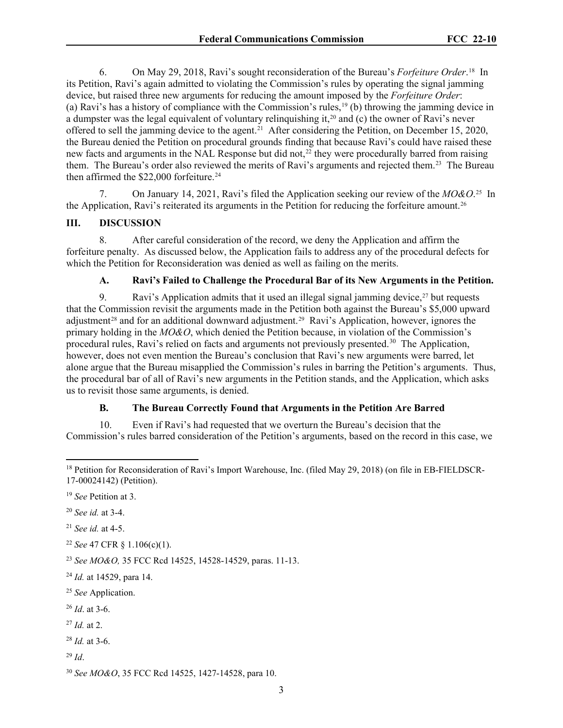6. On May 29, 2018, Ravi's sought reconsideration of the Bureau's *Forfeiture Order*. [18](#page-2-0) In its Petition, Ravi's again admitted to violating the Commission's rules by operating the signal jamming device, but raised three new arguments for reducing the amount imposed by the *Forfeiture Order*: (a) Ravi's has a history of compliance with the Commission's rules,[19](#page-2-1) (b) throwing the jamming device in a dumpster was the legal equivalent of voluntary relinquishing it,[20](#page-2-2) and (c) the owner of Ravi's never offered to sell the jamming device to the agent.[21](#page-2-3) After considering the Petition, on December 15, 2020, the Bureau denied the Petition on procedural grounds finding that because Ravi's could have raised these new facts and arguments in the NAL Response but did not,<sup>[22](#page-2-4)</sup> they were procedurally barred from raising them. The Bureau's order also reviewed the merits of Ravi's arguments and rejected them.<sup>[23](#page-2-5)</sup> The Bureau then affirmed the \$22,000 forfeiture.<sup>[24](#page-2-6)</sup>

7. On January 14, 2021, Ravi's filed the Application seeking our review of the *MO&O*. [25](#page-2-7) In the Application, Ravi's reiterated its arguments in the Petition for reducing the forfeiture amount.<sup>[26](#page-2-8)</sup>

#### **III. DISCUSSION**

8. After careful consideration of the record, we deny the Application and affirm the forfeiture penalty. As discussed below, the Application fails to address any of the procedural defects for which the Petition for Reconsideration was denied as well as failing on the merits.

#### **A. Ravi's Failed to Challenge the Procedural Bar of its New Arguments in the Petition.**

9. Ravi's Application admits that it used an illegal signal jamming device,  $27$  but requests that the Commission revisit the arguments made in the Petition both against the Bureau's \$5,000 upward adjustment<sup>[28](#page-2-10)</sup> and for an additional downward adjustment.<sup>[29](#page-2-11)</sup> Ravi's Application, however, ignores the primary holding in the *MO&O*, which denied the Petition because, in violation of the Commission's procedural rules, Ravi's relied on facts and arguments not previously presented.<sup>30</sup> The Application, however, does not even mention the Bureau's conclusion that Ravi's new arguments were barred, let alone argue that the Bureau misapplied the Commission's rules in barring the Petition's arguments. Thus, the procedural bar of all of Ravi's new arguments in the Petition stands, and the Application, which asks us to revisit those same arguments, is denied.

#### **B. The Bureau Correctly Found that Arguments in the Petition Are Barred**

10. Even if Ravi's had requested that we overturn the Bureau's decision that the Commission's rules barred consideration of the Petition's arguments, based on the record in this case, we

<span id="page-2-3"></span><sup>21</sup> *See id.* at 4-5.

<span id="page-2-4"></span><sup>22</sup> *See* 47 CFR § 1.106(c)(1).

<span id="page-2-5"></span><sup>23</sup> *See MO&O,* 35 FCC Rcd 14525, 14528-14529, paras. 11-13.

- <span id="page-2-8"></span><sup>26</sup> *Id*. at 3-6.
- <span id="page-2-9"></span><sup>27</sup> *Id.* at 2.

<span id="page-2-10"></span><sup>28</sup> *Id.* at 3-6.

<span id="page-2-11"></span><sup>29</sup> *Id*.

<span id="page-2-0"></span><sup>&</sup>lt;sup>18</sup> Petition for Reconsideration of Ravi's Import Warehouse, Inc. (filed May 29, 2018) (on file in EB-FIELDSCR-17-00024142) (Petition).

<span id="page-2-1"></span><sup>19</sup> *See* Petition at 3.

<span id="page-2-2"></span><sup>20</sup> *See id.* at 3-4.

<span id="page-2-6"></span><sup>24</sup> *Id.* at 14529, para 14.

<span id="page-2-7"></span><sup>25</sup> *See* Application.

<span id="page-2-12"></span><sup>30</sup> *See MO&O*, 35 FCC Rcd 14525, 1427-14528, para 10.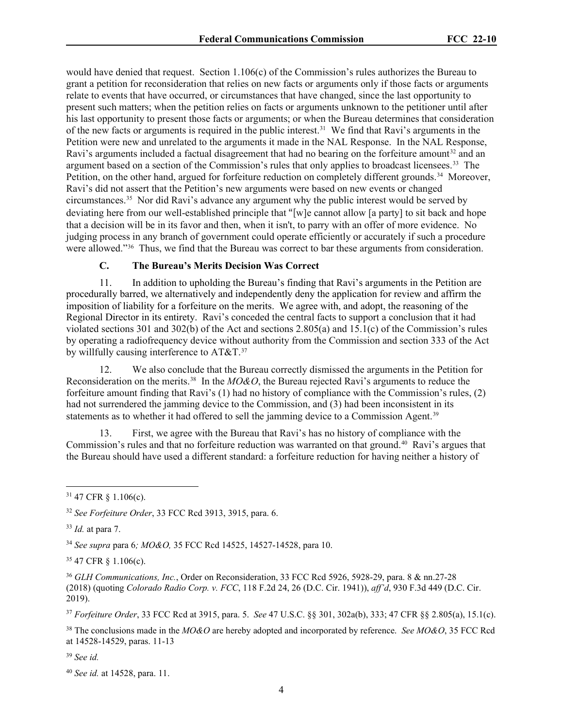would have denied that request. Section 1.106(c) of the Commission's rules authorizes the Bureau to grant a petition for reconsideration that relies on new facts or arguments only if those facts or arguments relate to events that have occurred, or circumstances that have changed, since the last opportunity to present such matters; when the petition relies on facts or arguments unknown to the petitioner until after his last opportunity to present those facts or arguments; or when the Bureau determines that consideration of the new facts or arguments is required in the public interest.[31](#page-3-0) We find that Ravi's arguments in the Petition were new and unrelated to the arguments it made in the NAL Response. In the NAL Response, Ravi's arguments included a factual disagreement that had no bearing on the forfeiture amount<sup>[32](#page-3-1)</sup> and an argument based on a section of the Commission's rules that only applies to broadcast licensees.[33](#page-3-2) The Petition, on the other hand, argued for forfeiture reduction on completely different grounds.<sup>34</sup> Moreover, Ravi's did not assert that the Petition's new arguments were based on new events or changed circumstances.[35](#page-3-4) Nor did Ravi's advance any argument why the public interest would be served by deviating here from our well-established principle that "[w]e cannot allow [a party] to sit back and hope that a decision will be in its favor and then, when it isn't, to parry with an offer of more evidence. No judging process in any branch of government could operate efficiently or accurately if such a procedure were allowed."[36](#page-3-5) Thus, we find that the Bureau was correct to bar these arguments from consideration.

### **C. The Bureau's Merits Decision Was Correct**

11. In addition to upholding the Bureau's finding that Ravi's arguments in the Petition are procedurally barred, we alternatively and independently deny the application for review and affirm the imposition of liability for a forfeiture on the merits. We agree with, and adopt, the reasoning of the Regional Director in its entirety. Ravi's conceded the central facts to support a conclusion that it had violated sections 301 and 302(b) of the Act and sections 2.805(a) and 15.1(c) of the Commission's rules by operating a radiofrequency device without authority from the Commission and section 333 of the Act by willfully causing interference to AT&T.<sup>37</sup>

12. We also conclude that the Bureau correctly dismissed the arguments in the Petition for Reconsideration on the merits.[38](#page-3-7) In the *MO&O*, the Bureau rejected Ravi's arguments to reduce the forfeiture amount finding that Ravi's (1) had no history of compliance with the Commission's rules, (2) had not surrendered the jamming device to the Commission, and (3) had been inconsistent in its statements as to whether it had offered to sell the jamming device to a Commission Agent.<sup>[39](#page-3-8)</sup>

13. First, we agree with the Bureau that Ravi's has no history of compliance with the Commission's rules and that no forfeiture reduction was warranted on that ground. [40](#page-3-9) Ravi's argues that the Bureau should have used a different standard: a forfeiture reduction for having neither a history of

<span id="page-3-3"></span><sup>34</sup> *See supra* para 6*; MO&O,* 35 FCC Rcd 14525, 14527-14528, para 10.

<span id="page-3-4"></span><sup>35</sup> 47 CFR § 1.106(c).

<span id="page-3-5"></span><sup>36</sup> *GLH Communications, Inc.*, Order on Reconsideration, 33 FCC Rcd 5926, 5928-29, para. 8 & nn.27-28 (2018) (quoting *Colorado Radio Corp. v. FCC*, 118 F.2d 24, 26 (D.C. Cir. 1941)), *aff'd*, 930 F.3d 449 (D.C. Cir. 2019).

<span id="page-3-6"></span><sup>37</sup> *Forfeiture Order*, 33 FCC Rcd at 3915, para. 5. *See* 47 U.S.C. §§ 301, 302a(b), 333; 47 CFR §§ 2.805(a), 15.1(c).

<span id="page-3-7"></span><sup>38</sup> The conclusions made in the *MO&O* are hereby adopted and incorporated by reference. *See MO&O*, 35 FCC Rcd at 14528-14529, paras. 11-13

<span id="page-3-8"></span><sup>39</sup> *See id.*

<span id="page-3-0"></span> $31$  47 CFR  $\S$  1.106(c).

<span id="page-3-1"></span><sup>32</sup> *See Forfeiture Order*, 33 FCC Rcd 3913, 3915, para. 6.

<span id="page-3-2"></span><sup>33</sup> *Id.* at para 7.

<span id="page-3-9"></span><sup>40</sup> *See id.* at 14528, para. 11.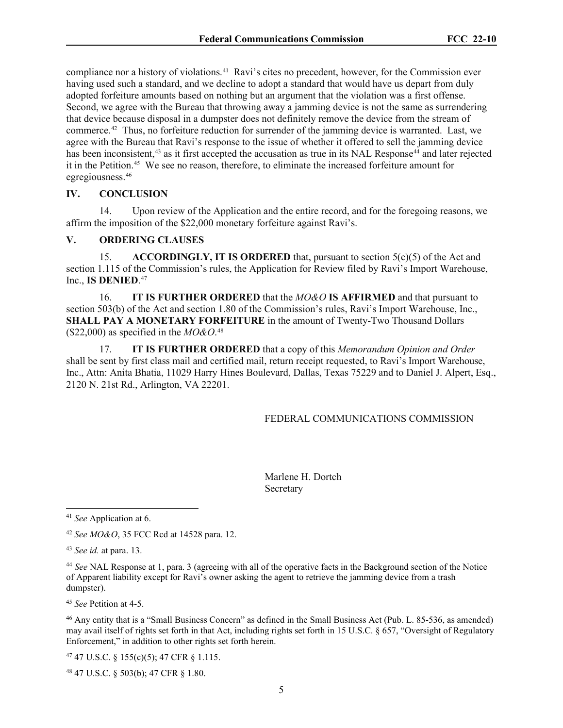compliance nor a history of violations. [41](#page-4-0) Ravi's cites no precedent, however, for the Commission ever having used such a standard, and we decline to adopt a standard that would have us depart from duly adopted forfeiture amounts based on nothing but an argument that the violation was a first offense. Second, we agree with the Bureau that throwing away a jamming device is not the same as surrendering that device because disposal in a dumpster does not definitely remove the device from the stream of commerce. [42](#page-4-1) Thus, no forfeiture reduction for surrender of the jamming device is warranted. Last, we agree with the Bureau that Ravi's response to the issue of whether it offered to sell the jamming device has been inconsistent,<sup>[43](#page-4-2)</sup> as it first accepted the accusation as true in its NAL Response<sup>[44](#page-4-3)</sup> and later rejected it in the Petition.[45](#page-4-4) We see no reason, therefore, to eliminate the increased forfeiture amount for egregiousness.[46](#page-4-5)

### **IV. CONCLUSION**

14. Upon review of the Application and the entire record, and for the foregoing reasons, we affirm the imposition of the \$22,000 monetary forfeiture against Ravi's.

#### **V. ORDERING CLAUSES**

15. **ACCORDINGLY, IT IS ORDERED** that, pursuant to section 5(c)(5) of the Act and section 1.115 of the Commission's rules, the Application for Review filed by Ravi's Import Warehouse, Inc., **IS DENIED**. [47](#page-4-6)

16. **IT IS FURTHER ORDERED** that the *MO&O* **IS AFFIRMED** and that pursuant to section 503(b) of the Act and section 1.80 of the Commission's rules, Ravi's Import Warehouse, Inc., **SHALL PAY A MONETARY FORFEITURE** in the amount of Twenty-Two Thousand Dollars (\$22,000) as specified in the *MO&O*. [48](#page-4-7)

17. **IT IS FURTHER ORDERED** that a copy of this *Memorandum Opinion and Order* shall be sent by first class mail and certified mail, return receipt requested, to Ravi's Import Warehouse, Inc., Attn: Anita Bhatia, 11029 Harry Hines Boulevard, Dallas, Texas 75229 and to Daniel J. Alpert, Esq., 2120 N. 21st Rd., Arlington, VA 22201.

#### FEDERAL COMMUNICATIONS COMMISSION

Marlene H. Dortch Secretary

<span id="page-4-4"></span><sup>45</sup> *See* Petition at 4-5.

<span id="page-4-5"></span><sup>46</sup> Any entity that is a "Small Business Concern" as defined in the Small Business Act (Pub. L. 85-536, as amended) may avail itself of rights set forth in that Act, including rights set forth in 15 U.S.C. § 657, "Oversight of Regulatory Enforcement," in addition to other rights set forth herein.

<span id="page-4-6"></span><sup>47</sup> 47 U.S.C. § 155(c)(5); 47 CFR § 1.115.

<span id="page-4-7"></span><sup>48</sup> 47 U.S.C. § 503(b); 47 CFR § 1.80.

<span id="page-4-0"></span><sup>41</sup> *See* Application at 6.

<span id="page-4-1"></span><sup>42</sup> *See MO&O*, 35 FCC Rcd at 14528 para. 12.

<span id="page-4-2"></span><sup>43</sup> *See id.* at para. 13.

<span id="page-4-3"></span><sup>44</sup> *See* NAL Response at 1, para. 3 (agreeing with all of the operative facts in the Background section of the Notice of Apparent liability except for Ravi's owner asking the agent to retrieve the jamming device from a trash dumpster).